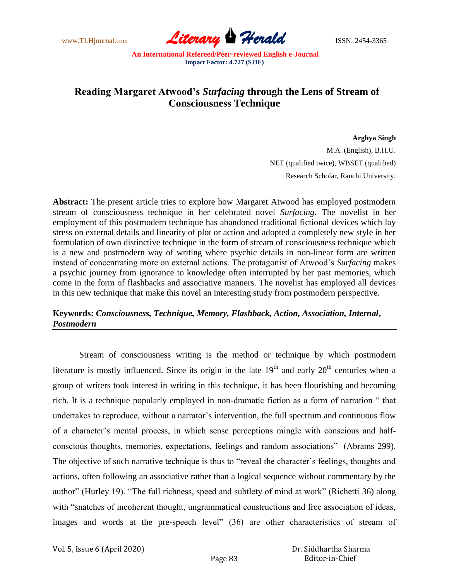www.TLHjournal.com **Literary Perald Herald** ISSN: 2454-3365

## **Reading Margaret Atwood's** *Surfacing* **through the Lens of Stream of Consciousness Technique**

**Arghya Singh** M.A. (English), B.H.U. NET (qualified twice), WBSET (qualified) Research Scholar, Ranchi University.

**Abstract:** The present article tries to explore how Margaret Atwood has employed postmodern stream of consciousness technique in her celebrated novel *Surfacing*. The novelist in her employment of this postmodern technique has abandoned traditional fictional devices which lay stress on external details and linearity of plot or action and adopted a completely new style in her formulation of own distinctive technique in the form of stream of consciousness technique which is a new and postmodern way of writing where psychic details in non-linear form are written instead of concentrating more on external actions. The protagonist of Atwood"s *Surfacing* makes a psychic journey from ignorance to knowledge often interrupted by her past memories, which come in the form of flashbacks and associative manners. The novelist has employed all devices in this new technique that make this novel an interesting study from postmodern perspective.

## **Keywords:** *Consciousness, Technique, Memory, Flashback, Action, Association, Internal***,**  *Postmodern*

Stream of consciousness writing is the method or technique by which postmodern literature is mostly influenced. Since its origin in the late  $19<sup>th</sup>$  and early  $20<sup>th</sup>$  centuries when a group of writers took interest in writing in this technique, it has been flourishing and becoming rich. It is a technique popularly employed in non-dramatic fiction as a form of narration " that undertakes to reproduce, without a narrator's intervention, the full spectrum and continuous flow of a character"s mental process, in which sense perceptions mingle with conscious and halfconscious thoughts, memories, expectations, feelings and random associations" (Abrams 299). The objective of such narrative technique is thus to "reveal the character's feelings, thoughts and actions, often following an associative rather than a logical sequence without commentary by the author" (Hurley 19). "The full richness, speed and subtlety of mind at work" (Richetti 36) along with "snatches of incoherent thought, ungrammatical constructions and free association of ideas, images and words at the pre-speech level" (36) are other characteristics of stream of

Vol. 5, Issue 6 (April 2020)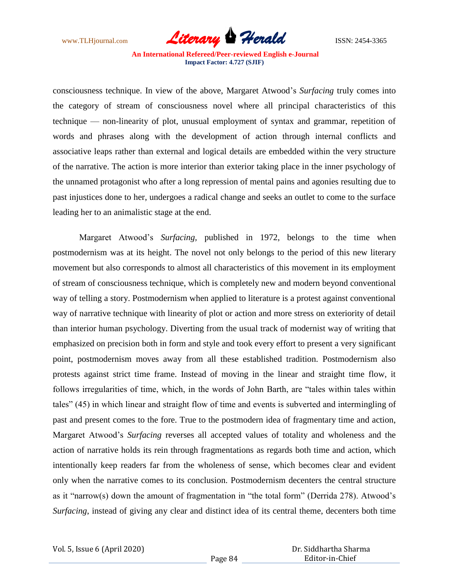

consciousness technique. In view of the above, Margaret Atwood"s *Surfacing* truly comes into the category of stream of consciousness novel where all principal characteristics of this technique –– non-linearity of plot, unusual employment of syntax and grammar, repetition of words and phrases along with the development of action through internal conflicts and associative leaps rather than external and logical details are embedded within the very structure of the narrative. The action is more interior than exterior taking place in the inner psychology of the unnamed protagonist who after a long repression of mental pains and agonies resulting due to past injustices done to her, undergoes a radical change and seeks an outlet to come to the surface leading her to an animalistic stage at the end.

 Margaret Atwood"s *Surfacing,* published in 1972, belongs to the time when postmodernism was at its height. The novel not only belongs to the period of this new literary movement but also corresponds to almost all characteristics of this movement in its employment of stream of consciousness technique, which is completely new and modern beyond conventional way of telling a story. Postmodernism when applied to literature is a protest against conventional way of narrative technique with linearity of plot or action and more stress on exteriority of detail than interior human psychology. Diverting from the usual track of modernist way of writing that emphasized on precision both in form and style and took every effort to present a very significant point, postmodernism moves away from all these established tradition. Postmodernism also protests against strict time frame. Instead of moving in the linear and straight time flow, it follows irregularities of time, which, in the words of John Barth, are "tales within tales within tales" (45) in which linear and straight flow of time and events is subverted and intermingling of past and present comes to the fore. True to the postmodern idea of fragmentary time and action, Margaret Atwood"s *Surfacing* reverses all accepted values of totality and wholeness and the action of narrative holds its rein through fragmentations as regards both time and action, which intentionally keep readers far from the wholeness of sense, which becomes clear and evident only when the narrative comes to its conclusion. Postmodernism decenters the central structure as it "narrow(s) down the amount of fragmentation in "the total form" (Derrida 278). Atwood"s *Surfacing*, instead of giving any clear and distinct idea of its central theme, decenters both time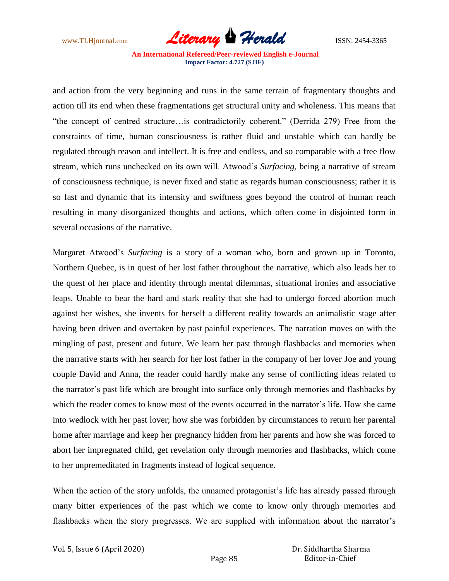

and action from the very beginning and runs in the same terrain of fragmentary thoughts and action till its end when these fragmentations get structural unity and wholeness. This means that "the concept of centred structure…is contradictorily coherent." (Derrida 279) Free from the constraints of time, human consciousness is rather fluid and unstable which can hardly be regulated through reason and intellect. It is free and endless, and so comparable with a free flow stream, which runs unchecked on its own will. Atwood"s *Surfacing,* being a narrative of stream of consciousness technique, is never fixed and static as regards human consciousness; rather it is so fast and dynamic that its intensity and swiftness goes beyond the control of human reach resulting in many disorganized thoughts and actions, which often come in disjointed form in several occasions of the narrative.

Margaret Atwood"s *Surfacing* is a story of a woman who, born and grown up in Toronto, Northern Quebec, is in quest of her lost father throughout the narrative, which also leads her to the quest of her place and identity through mental dilemmas, situational ironies and associative leaps. Unable to bear the hard and stark reality that she had to undergo forced abortion much against her wishes, she invents for herself a different reality towards an animalistic stage after having been driven and overtaken by past painful experiences. The narration moves on with the mingling of past, present and future. We learn her past through flashbacks and memories when the narrative starts with her search for her lost father in the company of her lover Joe and young couple David and Anna, the reader could hardly make any sense of conflicting ideas related to the narrator"s past life which are brought into surface only through memories and flashbacks by which the reader comes to know most of the events occurred in the narrator's life. How she came into wedlock with her past lover; how she was forbidden by circumstances to return her parental home after marriage and keep her pregnancy hidden from her parents and how she was forced to abort her impregnated child, get revelation only through memories and flashbacks, which come to her unpremeditated in fragments instead of logical sequence.

When the action of the story unfolds, the unnamed protagonist's life has already passed through many bitter experiences of the past which we come to know only through memories and flashbacks when the story progresses. We are supplied with information about the narrator's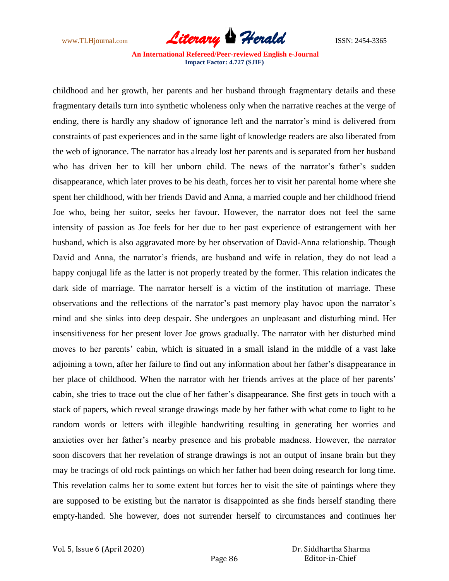

childhood and her growth, her parents and her husband through fragmentary details and these fragmentary details turn into synthetic wholeness only when the narrative reaches at the verge of ending, there is hardly any shadow of ignorance left and the narrator's mind is delivered from constraints of past experiences and in the same light of knowledge readers are also liberated from the web of ignorance. The narrator has already lost her parents and is separated from her husband who has driven her to kill her unborn child. The news of the narrator's father's sudden disappearance, which later proves to be his death, forces her to visit her parental home where she spent her childhood, with her friends David and Anna, a married couple and her childhood friend Joe who, being her suitor, seeks her favour. However, the narrator does not feel the same intensity of passion as Joe feels for her due to her past experience of estrangement with her husband, which is also aggravated more by her observation of David-Anna relationship. Though David and Anna, the narrator's friends, are husband and wife in relation, they do not lead a happy conjugal life as the latter is not properly treated by the former. This relation indicates the dark side of marriage. The narrator herself is a victim of the institution of marriage. These observations and the reflections of the narrator"s past memory play havoc upon the narrator"s mind and she sinks into deep despair. She undergoes an unpleasant and disturbing mind. Her insensitiveness for her present lover Joe grows gradually. The narrator with her disturbed mind moves to her parents' cabin, which is situated in a small island in the middle of a vast lake adjoining a town, after her failure to find out any information about her father"s disappearance in her place of childhood. When the narrator with her friends arrives at the place of her parents' cabin, she tries to trace out the clue of her father"s disappearance. She first gets in touch with a stack of papers, which reveal strange drawings made by her father with what come to light to be random words or letters with illegible handwriting resulting in generating her worries and anxieties over her father"s nearby presence and his probable madness. However, the narrator soon discovers that her revelation of strange drawings is not an output of insane brain but they may be tracings of old rock paintings on which her father had been doing research for long time. This revelation calms her to some extent but forces her to visit the site of paintings where they are supposed to be existing but the narrator is disappointed as she finds herself standing there empty-handed. She however, does not surrender herself to circumstances and continues her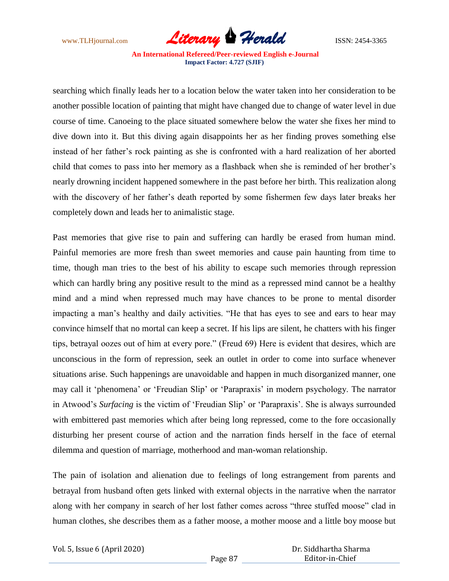

searching which finally leads her to a location below the water taken into her consideration to be another possible location of painting that might have changed due to change of water level in due course of time. Canoeing to the place situated somewhere below the water she fixes her mind to dive down into it. But this diving again disappoints her as her finding proves something else instead of her father"s rock painting as she is confronted with a hard realization of her aborted child that comes to pass into her memory as a flashback when she is reminded of her brother"s nearly drowning incident happened somewhere in the past before her birth. This realization along with the discovery of her father"s death reported by some fishermen few days later breaks her completely down and leads her to animalistic stage.

Past memories that give rise to pain and suffering can hardly be erased from human mind. Painful memories are more fresh than sweet memories and cause pain haunting from time to time, though man tries to the best of his ability to escape such memories through repression which can hardly bring any positive result to the mind as a repressed mind cannot be a healthy mind and a mind when repressed much may have chances to be prone to mental disorder impacting a man"s healthy and daily activities. "He that has eyes to see and ears to hear may convince himself that no mortal can keep a secret. If his lips are silent, he chatters with his finger tips, betrayal oozes out of him at every pore." (Freud 69) Here is evident that desires, which are unconscious in the form of repression, seek an outlet in order to come into surface whenever situations arise. Such happenings are unavoidable and happen in much disorganized manner, one may call it 'phenomena' or 'Freudian Slip' or 'Parapraxis' in modern psychology. The narrator in Atwood"s *Surfacing* is the victim of "Freudian Slip" or "Parapraxis". She is always surrounded with embittered past memories which after being long repressed, come to the fore occasionally disturbing her present course of action and the narration finds herself in the face of eternal dilemma and question of marriage, motherhood and man-woman relationship.

The pain of isolation and alienation due to feelings of long estrangement from parents and betrayal from husband often gets linked with external objects in the narrative when the narrator along with her company in search of her lost father comes across "three stuffed moose" clad in human clothes, she describes them as a father moose, a mother moose and a little boy moose but

Vol. 5, Issue 6 (April 2020)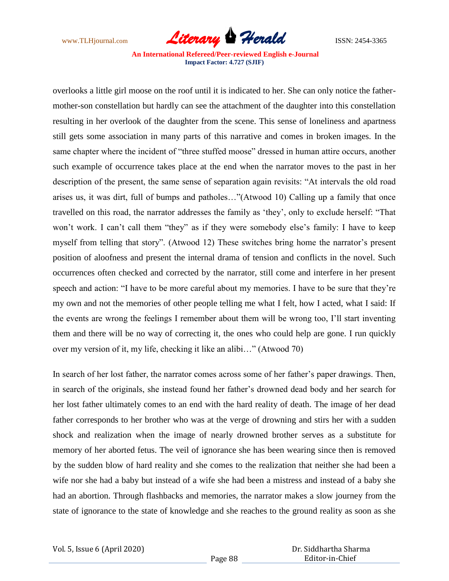

overlooks a little girl moose on the roof until it is indicated to her. She can only notice the fathermother-son constellation but hardly can see the attachment of the daughter into this constellation resulting in her overlook of the daughter from the scene. This sense of loneliness and apartness still gets some association in many parts of this narrative and comes in broken images. In the same chapter where the incident of "three stuffed moose" dressed in human attire occurs, another such example of occurrence takes place at the end when the narrator moves to the past in her description of the present, the same sense of separation again revisits: "At intervals the old road arises us, it was dirt, full of bumps and patholes…"(Atwood 10) Calling up a family that once travelled on this road, the narrator addresses the family as "they", only to exclude herself: "That won't work. I can't call them "they" as if they were somebody else's family: I have to keep myself from telling that story". (Atwood 12) These switches bring home the narrator's present position of aloofness and present the internal drama of tension and conflicts in the novel. Such occurrences often checked and corrected by the narrator, still come and interfere in her present speech and action: "I have to be more careful about my memories. I have to be sure that they"re my own and not the memories of other people telling me what I felt, how I acted, what I said: If the events are wrong the feelings I remember about them will be wrong too, I"ll start inventing them and there will be no way of correcting it, the ones who could help are gone. I run quickly over my version of it, my life, checking it like an alibi…" (Atwood 70)

In search of her lost father, the narrator comes across some of her father"s paper drawings. Then, in search of the originals, she instead found her father"s drowned dead body and her search for her lost father ultimately comes to an end with the hard reality of death. The image of her dead father corresponds to her brother who was at the verge of drowning and stirs her with a sudden shock and realization when the image of nearly drowned brother serves as a substitute for memory of her aborted fetus. The veil of ignorance she has been wearing since then is removed by the sudden blow of hard reality and she comes to the realization that neither she had been a wife nor she had a baby but instead of a wife she had been a mistress and instead of a baby she had an abortion. Through flashbacks and memories, the narrator makes a slow journey from the state of ignorance to the state of knowledge and she reaches to the ground reality as soon as she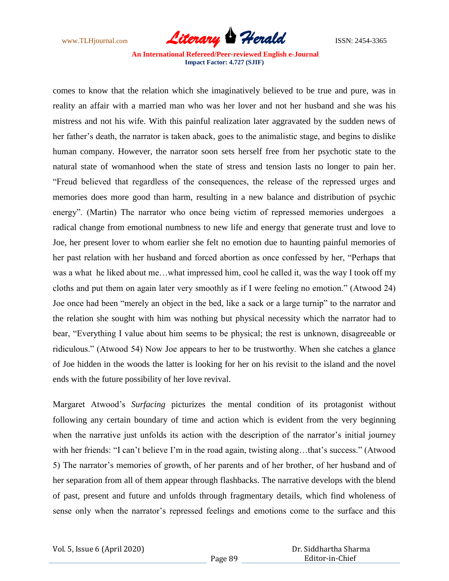

comes to know that the relation which she imaginatively believed to be true and pure, was in reality an affair with a married man who was her lover and not her husband and she was his mistress and not his wife. With this painful realization later aggravated by the sudden news of her father"s death, the narrator is taken aback, goes to the animalistic stage, and begins to dislike human company. However, the narrator soon sets herself free from her psychotic state to the natural state of womanhood when the state of stress and tension lasts no longer to pain her. "Freud believed that regardless of the consequences, the release of the repressed urges and memories does more good than harm, resulting in a new balance and distribution of psychic energy". (Martin) The narrator who once being victim of repressed memories undergoes a radical change from emotional numbness to new life and energy that generate trust and love to Joe, her present lover to whom earlier she felt no emotion due to haunting painful memories of her past relation with her husband and forced abortion as once confessed by her, "Perhaps that was a what he liked about me…what impressed him, cool he called it, was the way I took off my cloths and put them on again later very smoothly as if I were feeling no emotion." (Atwood 24) Joe once had been "merely an object in the bed, like a sack or a large turnip" to the narrator and the relation she sought with him was nothing but physical necessity which the narrator had to bear, "Everything I value about him seems to be physical; the rest is unknown, disagreeable or ridiculous." (Atwood 54) Now Joe appears to her to be trustworthy. When she catches a glance of Joe hidden in the woods the latter is looking for her on his revisit to the island and the novel ends with the future possibility of her love revival.

Margaret Atwood"s *Surfacing* picturizes the mental condition of its protagonist without following any certain boundary of time and action which is evident from the very beginning when the narrative just unfolds its action with the description of the narrator's initial journey with her friends: "I can't believe I'm in the road again, twisting along...that's success." (Atwood 5) The narrator's memories of growth, of her parents and of her brother, of her husband and of her separation from all of them appear through flashbacks. The narrative develops with the blend of past, present and future and unfolds through fragmentary details, which find wholeness of sense only when the narrator's repressed feelings and emotions come to the surface and this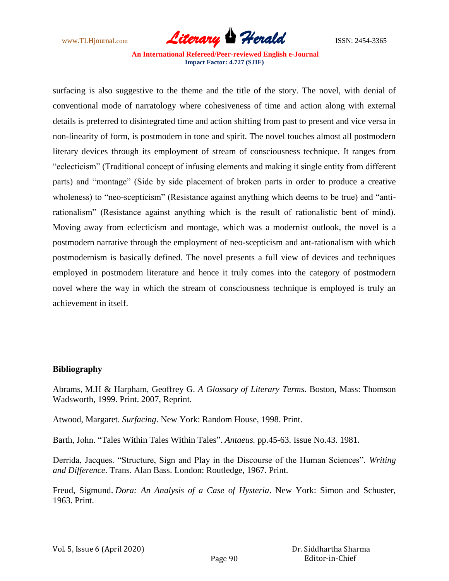

surfacing is also suggestive to the theme and the title of the story. The novel, with denial of conventional mode of narratology where cohesiveness of time and action along with external details is preferred to disintegrated time and action shifting from past to present and vice versa in non-linearity of form, is postmodern in tone and spirit. The novel touches almost all postmodern literary devices through its employment of stream of consciousness technique. It ranges from "eclecticism" (Traditional concept of infusing elements and making it single entity from different parts) and "montage" (Side by side placement of broken parts in order to produce a creative wholeness) to "neo-scepticism" (Resistance against anything which deems to be true) and "antirationalism" (Resistance against anything which is the result of rationalistic bent of mind). Moving away from eclecticism and montage, which was a modernist outlook, the novel is a postmodern narrative through the employment of neo-scepticism and ant-rationalism with which postmodernism is basically defined. The novel presents a full view of devices and techniques employed in postmodern literature and hence it truly comes into the category of postmodern novel where the way in which the stream of consciousness technique is employed is truly an achievement in itself.

## **Bibliography**

Abrams, M.H & Harpham, Geoffrey G. *A Glossary of Literary Terms*. Boston, Mass: Thomson Wadsworth, 1999. Print. 2007, Reprint.

Atwood, Margaret. *Surfacing*. New York: Random House, 1998. Print.

Barth, John. "Tales Within Tales Within Tales". *Antaeus.* pp.45-63. Issue No.43. 1981.

Derrida, Jacques. "Structure, Sign and Play in the Discourse of the Human Sciences". *Writing and Difference*. Trans. Alan Bass. London: Routledge, 1967. Print.

Freud, Sigmund. *Dora: An Analysis of a Case of Hysteria*. New York: Simon and Schuster, 1963. Print.

| Vol. 5, Issue 6 (April 2020) |  |  |
|------------------------------|--|--|
|------------------------------|--|--|

|                 | Dr. Siddhartha Sharma |
|-----------------|-----------------------|
| Editor-in-Chief |                       |